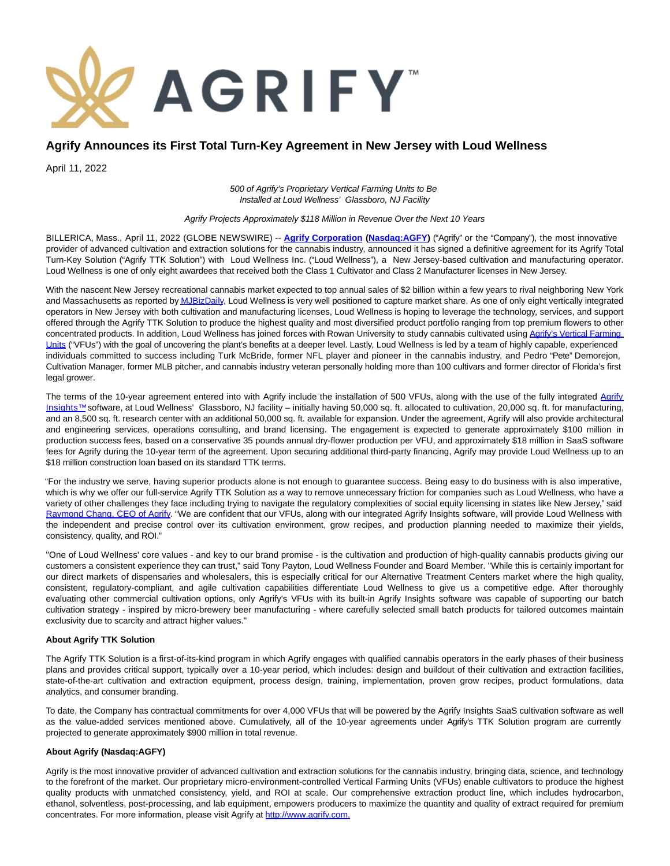

# **Agrify Announces its First Total Turn-Key Agreement in New Jersey with Loud Wellness**

April 11, 2022

500 of Agrify's Proprietary Vertical Farming Units to Be Installed at Loud Wellness' Glassboro, NJ Facility

Agrify Projects Approximately \$118 Million in Revenue Over the Next 10 Years

BILLERICA, Mass., April 11, 2022 (GLOBE NEWSWIRE) -- **[Agrify Corporation](https://www.globenewswire.com/Tracker?data=aW0G1oEdMJY-IR_KhrIgnUyj3AeCB3yjXf395UCyRvOtrcYu-i7b2_M5kEOGBimtsD5_mDpTQF--DjbCoY2QvA==) [\(Nasdaq:AGFY\)](https://www.globenewswire.com/Tracker?data=kUhiLzKYKAI1RdqIfdjiSEL9aMoSYs9Vt9WyK5Up-QSgd6mph8WZB7enAqbPO9ZOgbbGV017kwqkKI-Ei4NCzO4vrXGvvtkUe3Mv-lydSZTovsGv9AjXCvgBJcg7uq_a)** ("Agrify" or the "Company"), the most innovative provider of advanced cultivation and extraction solutions for the cannabis industry, announced it has signed a definitive agreement for its Agrify Total Turn-Key Solution ("Agrify TTK Solution") with Loud Wellness Inc. ("Loud Wellness"), a New Jersey-based cultivation and manufacturing operator. Loud Wellness is one of only eight awardees that received both the Class 1 Cultivator and Class 2 Manufacturer licenses in New Jersey.

With the nascent New Jersey recreational cannabis market expected to top annual sales of \$2 billion within a few years to rival neighboring New York and Massachusetts as reported b[y MJBizDaily,](https://www.globenewswire.com/Tracker?data=iV2fbq_I4t8hi1clABIm61arr-7LZeLmFPssG9_ddFFLAAA58hivV5zljf2JtdJ517ONUBpcXzkELOinDG38da8VeuOPH28xSPXDyco2l7X047MLAc00HqhIrldK_JeuB9w2kBu6HrDS1pio21WlyzaL4laaiEzf1vB-2BjofLY=) Loud Wellness is very well positioned to capture market share. As one of only eight vertically integrated operators in New Jersey with both cultivation and manufacturing licenses, Loud Wellness is hoping to leverage the technology, services, and support offered through the Agrify TTK Solution to produce the highest quality and most diversified product portfolio ranging from top premium flowers to other concentrated products. In addition, Loud Wellness has joined forces with Rowan University to study cannabis cultivated usin[g Agrify's Vertical Farming](https://www.globenewswire.com/Tracker?data=aW0G1oEdMJY-IR_KhrIgnY-8mlbCyoEYnZaonfrXIgVnsxavYyhRjqhT-JH0-X_6NwmeFvI-T-Fhk3PBqqQKKw4cObTprxSIoopQa1itG8qIf2YWFilio1U8WC6ulY8ItU_ScKRO952_0xNQ7b_g4QHP6gB2lkv2A8Ufxcz-das=) Units ("VFUs") with the goal of uncovering the plant's benefits at a deeper level. Lastly, Loud Wellness is led by a team of highly capable, experienced individuals committed to success including Turk McBride, former NFL player and pioneer in the cannabis industry, and Pedro "Pete" Demorejon, Cultivation Manager, former MLB pitcher, and cannabis industry veteran personally holding more than 100 cultivars and former director of Florida's first legal grower.

The terms of the 10-year agreement entered into with Agrify include the installation of 500 VFUs, along with the use of the fully integrated [Agrify](https://www.globenewswire.com/Tracker?data=aW0G1oEdMJY-IR_KhrIgnVDedxoQu6_Sp-gPw2VTDGSRol8vdjpDhldQmNf34jvAVnz8eOMAi442mYSOp6KbMmZhMNs72mPpKsS2adR1gBW63JonW3-UlZ3wMtnXrqd9Qtt7rp7yzWNsM4JYGQ5Bvw==) Insights™ software, at Loud Wellness' Glassboro, NJ facility – initially having 50,000 sq. ft. allocated to cultivation, 20,000 sq. ft. for manufacturing, and an 8,500 sq. ft. research center with an additional 50,000 sq. ft. available for expansion. Under the agreement, Agrify will also provide architectural and engineering services, operations consulting, and brand licensing. The engagement is expected to generate approximately \$100 million in production success fees, based on a conservative 35 pounds annual dry-flower production per VFU, and approximately \$18 million in SaaS software fees for Agrify during the 10-year term of the agreement. Upon securing additional third-party financing, Agrify may provide Loud Wellness up to an \$18 million construction loan based on its standard TTK terms.

"For the industry we serve, having superior products alone is not enough to guarantee success. Being easy to do business with is also imperative, which is why we offer our full-service Agrify TTK Solution as a way to remove unnecessary friction for companies such as Loud Wellness, who have a variety of other challenges they face including trying to navigate the regulatory complexities of social equity licensing in states like New Jersey," said [Raymond Chang, CEO of Agrify.](https://www.globenewswire.com/Tracker?data=JpfP1dwFYdYr2zEVu10Wfdc4j7rYYqt84VVuL5Stz3XVbObMBmS_jqLvBfO_W0sN1K_nIMcJF4uPuzFRmmMXDvv3YeGrN6WFtSQ5WtvDOswmV0FKhLiFokeSYRCnkrQZ3Wpc0eMHDp62o8eb2QiWBw==) "We are confident that our VFUs, along with our integrated Agrify Insights software, will provide Loud Wellness with the independent and precise control over its cultivation environment, grow recipes, and production planning needed to maximize their yields, consistency, quality, and ROI."

"One of Loud Wellness' core values - and key to our brand promise - is the cultivation and production of high-quality cannabis products giving our customers a consistent experience they can trust," said Tony Payton, Loud Wellness Founder and Board Member. "While this is certainly important for our direct markets of dispensaries and wholesalers, this is especially critical for our Alternative Treatment Centers market where the high quality, consistent, regulatory-compliant, and agile cultivation capabilities differentiate Loud Wellness to give us a competitive edge. After thoroughly evaluating other commercial cultivation options, only Agrify's VFUs with its built-in Agrify Insights software was capable of supporting our batch cultivation strategy - inspired by micro-brewery beer manufacturing - where carefully selected small batch products for tailored outcomes maintain exclusivity due to scarcity and attract higher values."

#### **About Agrify TTK Solution**

The Agrify TTK Solution is a first-of-its-kind program in which Agrify engages with qualified cannabis operators in the early phases of their business plans and provides critical support, typically over a 10-year period, which includes: design and buildout of their cultivation and extraction facilities, state-of-the-art cultivation and extraction equipment, process design, training, implementation, proven grow recipes, product formulations, data analytics, and consumer branding.

To date, the Company has contractual commitments for over 4,000 VFUs that will be powered by the Agrify Insights SaaS cultivation software as well as the value-added services mentioned above. Cumulatively, all of the 10-year agreements under Agrify's TTK Solution program are currently projected to generate approximately \$900 million in total revenue.

#### **About Agrify (Nasdaq:AGFY)**

Agrify is the most innovative provider of advanced cultivation and extraction solutions for the cannabis industry, bringing data, science, and technology to the forefront of the market. Our proprietary micro-environment-controlled Vertical Farming Units (VFUs) enable cultivators to produce the highest quality products with unmatched consistency, yield, and ROI at scale. Our comprehensive extraction product line, which includes hydrocarbon, ethanol, solventless, post-processing, and lab equipment, empowers producers to maximize the quantity and quality of extract required for premium concentrates. For more information, please visit Agrify at [http://www.agrify.com.](https://www.globenewswire.com/Tracker?data=DGCkqhc8KfyTYRkkzunLAAmZQ5xIhAfNQ0O42bgaO6OzcmyWS4XjQiBqGjJ-4WtWTxhpb-1F-OT9k00i8rIK2fTooTF7rzYialgzXQc1JcI=)